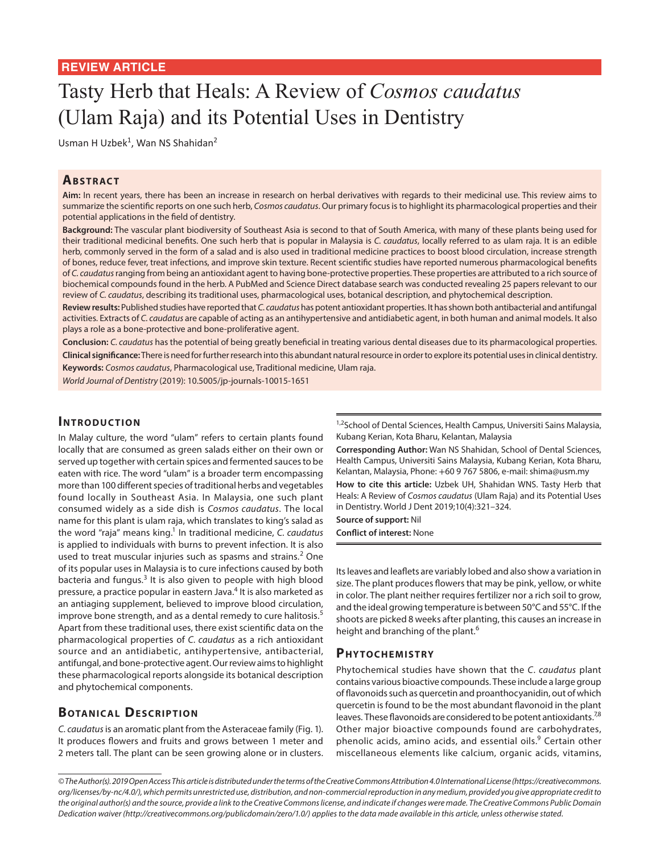# Tasty Herb that Heals: A Review of *Cosmos caudatus* (Ulam Raja) and its Potential Uses in Dentistry

Usman H Uzbek<sup>1</sup>, Wan NS Shahidan<sup>2</sup>

#### **ABSTRACT**

**Aim:** In recent years, there has been an increase in research on herbal derivatives with regards to their medicinal use. This review aims to summarize the scientific reports on one such herb, *Cosmos caudatus*. Our primary focus is to highlight its pharmacological properties and their potential applications in the field of dentistry.

**Background:** The vascular plant biodiversity of Southeast Asia is second to that of South America, with many of these plants being used for their traditional medicinal benefits. One such herb that is popular in Malaysia is *C. caudatus*, locally referred to as ulam raja. It is an edible herb, commonly served in the form of a salad and is also used in traditional medicine practices to boost blood circulation, increase strength of bones, reduce fever, treat infections, and improve skin texture. Recent scientific studies have reported numerous pharmacological benefits of *C. caudatus* ranging from being an antioxidant agent to having bone-protective properties. These properties are attributed to a rich source of biochemical compounds found in the herb. A PubMed and Science Direct database search was conducted revealing 25 papers relevant to our review of *C. caudatus*, describing its traditional uses, pharmacological uses, botanical description, and phytochemical description.

**Review results:** Published studies have reported that *C. caudatus* has potent antioxidant properties. It has shown both antibacterial and antifungal activities. Extracts of *C. caudatus* are capable of acting as an antihypertensive and antidiabetic agent, in both human and animal models. It also plays a role as a bone-protective and bone-proliferative agent.

**Conclusion:** *C. caudatus* has the potential of being greatly beneficial in treating various dental diseases due to its pharmacological properties. **Clinical significance:** There is need for further research into this abundant natural resource in order to explore its potential uses in clinical dentistry. **Keywords:** *Cosmos caudatus*, Pharmacological use, Traditional medicine, Ulam raja.

*World Journal of Dentistry* (2019): 10.5005/jp-journals-10015-1651

# **INTRODUCTION**

In Malay culture, the word "ulam" refers to certain plants found locally that are consumed as green salads either on their own or served up together with certain spices and fermented sauces to be eaten with rice. The word "ulam" is a broader term encompassing more than 100 different species of traditional herbs and vegetables found locally in Southeast Asia. In Malaysia, one such plant consumed widely as a side dish is *Cosmos caudatus*. The local name for this plant is ulam raja, which translates to king's salad as the word "raja" means king.<sup>1</sup> In traditional medicine, *C. caudatus* is applied to individuals with burns to prevent infection. It is also used to treat muscular injuries such as spasms and strains.<sup>2</sup> One of its popular uses in Malaysia is to cure infections caused by both bacteria and fungus.<sup>3</sup> It is also given to people with high blood pressure, a practice popular in eastern Java.<sup>4</sup> It is also marketed as an antiaging supplement, believed to improve blood circulation, improve bone strength, and as a dental remedy to cure halitosis.<sup>5</sup> Apart from these traditional uses, there exist scientific data on the pharmacological properties of *C. caudatus* as a rich antioxidant source and an antidiabetic, antihypertensive, antibacterial, antifungal, and bone-protective agent. Our review aims to highlight these pharmacological reports alongside its botanical description and phytochemical components.

# **BOTANICAL DESCRIPTION**

*C. caudatus* is an aromatic plant from the Asteraceae family (Fig. 1). It produces flowers and fruits and grows between 1 meter and 2 meters tall. The plant can be seen growing alone or in clusters. <sup>1,2</sup>School of Dental Sciences, Health Campus, Universiti Sains Malaysia, Kubang Kerian, Kota Bharu, Kelantan, Malaysia

**Corresponding Author:** Wan NS Shahidan, School of Dental Sciences, Health Campus, Universiti Sains Malaysia, Kubang Kerian, Kota Bharu, Kelantan, Malaysia, Phone: +60 9 767 5806, e-mail: shima@usm.my **How to cite this article:** Uzbek UH, Shahidan WNS. Tasty Herb that

Heals: A Review of *Cosmos caudatus* (Ulam Raja) and its Potential Uses in Dentistry. World J Dent 2019;10(4):321–324.

**Source of support:** Nil **Conflict of interest:** None

Its leaves and leaflets are variably lobed and also show a variation in size. The plant produces flowers that may be pink, yellow, or white in color. The plant neither requires fertilizer nor a rich soil to grow, and the ideal growing temperature is between 50°C and 55°C. If the shoots are picked 8 weeks after planting, this causes an increase in height and branching of the plant.<sup>6</sup>

#### **PHYTOCHEMISTRY**

Phytochemical studies have shown that the *C*. *caudatus* plant contains various bioactive compounds. These include a large group of flavonoids such as quercetin and proanthocyanidin, out of which quercetin is found to be the most abundant flavonoid in the plant leaves*.* These flavonoids are considered to be potent antioxidants.7,8 Other major bioactive compounds found are carbohydrates, phenolic acids, amino acids, and essential oils.<sup>9</sup> Certain other miscellaneous elements like calcium, organic acids, vitamins,

*<sup>©</sup> The Author(s). 2019 Open Access This article is distributed under the terms of the Creative Commons Attribution 4.0 International License (https://creativecommons. org/licenses/by-nc/4.0/), which permits unrestricted use, distribution, and non-commercial reproduction in any medium, provided you give appropriate credit to the original author(s) and the source, provide a link to the Creative Commons license, and indicate if changes were made. The Creative Commons Public Domain Dedication waiver (http://creativecommons.org/publicdomain/zero/1.0/) applies to the data made available in this article, unless otherwise stated.*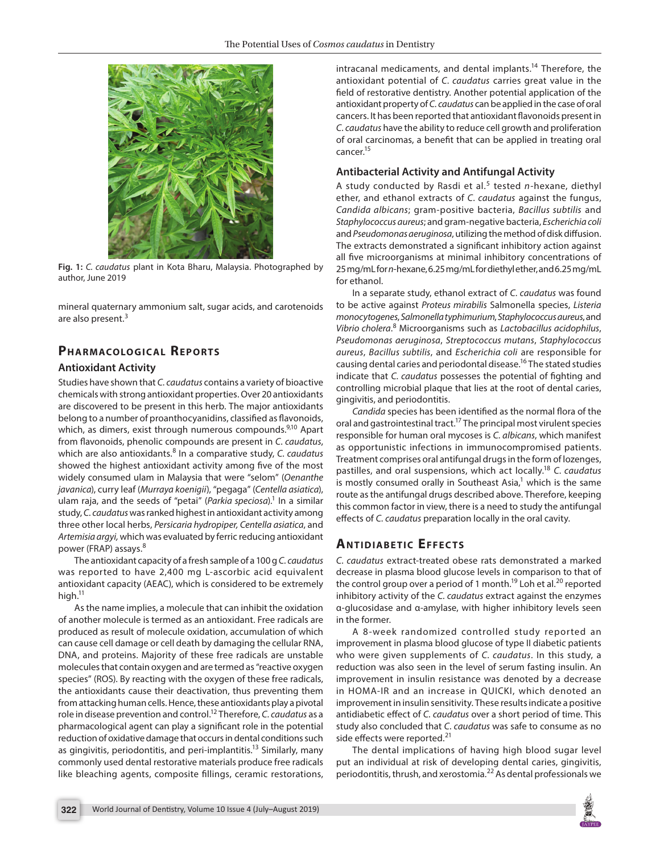

**Fig. 1:** *C. caudatus* plant in Kota Bharu, Malaysia. Photographed by author, June 2019

mineral quaternary ammonium salt, sugar acids, and carotenoids are also present.<sup>3</sup>

# **PHARMACOLOGICAL REPORTS**

#### **Antioxidant Activity**

Studies have shown that *C. caudatus* contains a variety of bioactive chemicals with strong antioxidant properties. Over 20 antioxidants are discovered to be present in this herb. The major antioxidants belong to a number of proanthocyanidins, classified as flavonoids, which, as dimers, exist through numerous compounds.<sup>9,10</sup> Apart from flavonoids, phenolic compounds are present in *C. caudatus*, which are also antioxidants.<sup>8</sup> In a comparative study, *C. caudatus* showed the highest antioxidant activity among five of the most widely consumed ulam in Malaysia that were "selom" (*Oenanthe javanica*), curry leaf (*Murraya koenigii*), "pegaga" (*Centella asiatica*), ulam raja, and the seeds of "petai" (Parkia speciosa).<sup>1</sup> In a similar study, *C. caudatus* was ranked highest in antioxidant activity among three other local herbs, *Persicaria hydropiper, Centella asiatica*, and *Artemisia argyi,* which was evaluated by ferric reducing antioxidant power (FRAP) assays.<sup>8</sup>

The antioxidant capacity of a fresh sample of a 100 g *C. caudatus* was reported to have 2,400 mg L-ascorbic acid equivalent antioxidant capacity (AEAC), which is considered to be extremely high. $11$ 

As the name implies, a molecule that can inhibit the oxidation of another molecule is termed as an antioxidant. Free radicals are produced as result of molecule oxidation, accumulation of which can cause cell damage or cell death by damaging the cellular RNA, DNA, and proteins. Majority of these free radicals are unstable molecules that contain oxygen and are termed as "reactive oxygen species" (ROS). By reacting with the oxygen of these free radicals, the antioxidants cause their deactivation, thus preventing them from attacking human cells. Hence, these antioxidants play a pivotal role in disease prevention and control.12 Therefore, *C. caudatus* as a pharmacological agent can play a significant role in the potential reduction of oxidative damage that occurs in dental conditions such as gingivitis, periodontitis, and peri-implantitis.<sup>13</sup> Similarly, many commonly used dental restorative materials produce free radicals like bleaching agents, composite fillings, ceramic restorations, intracanal medicaments, and dental implants.<sup>14</sup> Therefore, the antioxidant potential of *C. caudatus* carries great value in the field of restorative dentistry. Another potential application of the antioxidant property of *C. caudatus* can be applied in the case of oral cancers. It has been reported that antioxidant flavonoids present in *C. caudatus* have the ability to reduce cell growth and proliferation of oral carcinomas, a benefit that can be applied in treating oral cancer.<sup>15</sup>

#### **Antibacterial Activity and Antifungal Activity**

A study conducted by Rasdi et al.<sup>5</sup> tested *n*-hexane, diethyl ether, and ethanol extracts of *C. caudatus* against the fungus, *Candida albicans*; gram-positive bacteria, *Bacillus subtilis* and *Staphylococcus aureus*; and gram-negative bacteria, *Escherichia coli* and *Pseudomonas aeruginosa*, utilizing the method of disk diffusion. The extracts demonstrated a significant inhibitory action against all five microorganisms at minimal inhibitory concentrations of 25 mg/mL for *n*-hexane, 6.25 mg/mL for diethyl ether, and 6.25 mg/mL for ethanol.

In a separate study, ethanol extract of *C. caudatus* was found to be active against *Proteus mirabilis* Salmonella species, *Listeria monocytogenes*, *Salmonella typhimurium*, *Staphylococcus aureus*, and *Vibrio cholera*. 8 Microorganisms such as *Lactobacillus acidophilus*, *Pseudomonas aeruginosa*, *Streptococcus mutans*, *Staphylococcus aureus*, *Bacillus subtilis*, and *Escherichia coli* are responsible for causing dental caries and periodontal disease.<sup>16</sup> The stated studies indicate that *C. caudatus* possesses the potential of fighting and controlling microbial plaque that lies at the root of dental caries, gingivitis, and periodontitis.

*Candida* species has been identified as the normal flora of the oral and gastrointestinal tract.<sup>17</sup> The principal most virulent species responsible for human oral mycoses is *C. albicans*, which manifest as opportunistic infections in immunocompromised patients. Treatment comprises oral antifungal drugs in the form of lozenges, pastilles, and oral suspensions, which act locally.18 *C. caudatus* is mostly consumed orally in Southeast Asia, $1$  which is the same route as the antifungal drugs described above. Therefore, keeping this common factor in view, there is a need to study the antifungal effects of *C. caudatus* preparation locally in the oral cavity.

# **ANTIDIABETIC EFFECTS**

*C. caudatus* extract-treated obese rats demonstrated a marked decrease in plasma blood glucose levels in comparison to that of the control group over a period of 1 month.<sup>19</sup> Loh et al.<sup>20</sup> reported inhibitory activity of the *C. caudatus* extract against the enzymes α-glucosidase and α-amylase, with higher inhibitory levels seen in the former.

A 8-week randomized controlled study reported an improvement in plasma blood glucose of type II diabetic patients who were given supplements of *C. caudatus*. In this study, a reduction was also seen in the level of serum fasting insulin. An improvement in insulin resistance was denoted by a decrease in HOMA-IR and an increase in QUICKI, which denoted an improvement in insulin sensitivity. These results indicate a positive antidiabetic effect of *C. caudatus* over a short period of time. This study also concluded that *C. caudatus* was safe to consume as no side effects were reported.<sup>21</sup>

The dental implications of having high blood sugar level put an individual at risk of developing dental caries, gingivitis, periodontitis, thrush, and xerostomia.22 As dental professionals we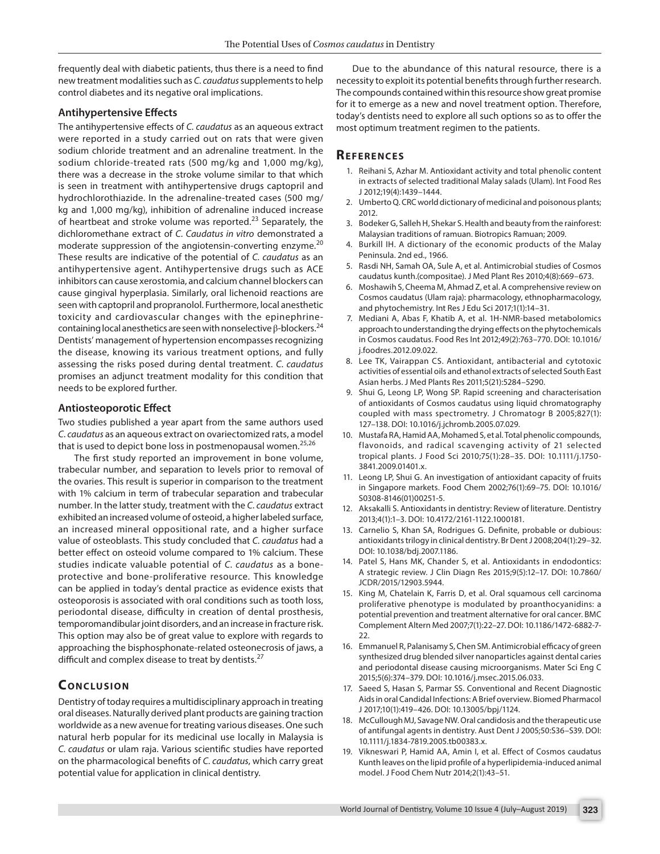frequently deal with diabetic patients, thus there is a need to find new treatment modalities such as *C. caudatus* supplements to help control diabetes and its negative oral implications.

#### **Antihypertensive Effects**

The antihypertensive effects of *C. caudatus* as an aqueous extract were reported in a study carried out on rats that were given sodium chloride treatment and an adrenaline treatment. In the sodium chloride-treated rats (500 mg/kg and 1,000 mg/kg), there was a decrease in the stroke volume similar to that which is seen in treatment with antihypertensive drugs captopril and hydrochlorothiazide. In the adrenaline-treated cases (500 mg/ kg and 1,000 mg/kg), inhibition of adrenaline induced increase of heartbeat and stroke volume was reported.<sup>23</sup> Separately, the dichloromethane extract of *C. Caudatus in vitro* demonstrated a moderate suppression of the angiotensin-converting enzyme.<sup>20</sup> These results are indicative of the potential of *C. caudatus* as an antihypertensive agent. Antihypertensive drugs such as ACE inhibitors can cause xerostomia, and calcium channel blockers can cause gingival hyperplasia. Similarly, oral lichenoid reactions are seen with captopril and propranolol. Furthermore, local anesthetic toxicity and cardiovascular changes with the epinephrinecontaining local anesthetics are seen with nonselective  $\beta$ -blockers.<sup>24</sup> Dentists' management of hypertension encompasses recognizing the disease, knowing its various treatment options, and fully assessing the risks posed during dental treatment. *C. caudatus* promises an adjunct treatment modality for this condition that needs to be explored further.

#### **Antiosteoporotic Effect**

Two studies published a year apart from the same authors used *C*. *caudatus* as an aqueous extract on ovariectomized rats, a model that is used to depict bone loss in postmenopausal women.<sup>25,26</sup>

The first study reported an improvement in bone volume, trabecular number, and separation to levels prior to removal of the ovaries. This result is superior in comparison to the treatment with 1% calcium in term of trabecular separation and trabecular number. In the latter study, treatment with the *C. caudatus* extract exhibited an increased volume of osteoid, a higher labeled surface, an increased mineral oppositional rate, and a higher surface value of osteoblasts. This study concluded that *C. caudatus* had a better effect on osteoid volume compared to 1% calcium. These studies indicate valuable potential of *C. caudatus* as a boneprotective and bone-proliferative resource. This knowledge can be applied in today's dental practice as evidence exists that osteoporosis is associated with oral conditions such as tooth loss, periodontal disease, difficulty in creation of dental prosthesis, temporomandibular joint disorders, and an increase in fracture risk. This option may also be of great value to explore with regards to approaching the bisphosphonate-related osteonecrosis of jaws, a difficult and complex disease to treat by dentists.<sup>27</sup>

# **CONCLUSION**

Dentistry of today requires a multidisciplinary approach in treating oral diseases. Naturally derived plant products are gaining traction worldwide as a new avenue for treating various diseases. One such natural herb popular for its medicinal use locally in Malaysia is *C. caudatus* or ulam raja. Various scientific studies have reported on the pharmacological benefits of *C. caudatus*, which carry great potential value for application in clinical dentistry.

Due to the abundance of this natural resource, there is a necessity to exploit its potential benefits through further research. The compounds contained within this resource show great promise for it to emerge as a new and novel treatment option. Therefore, today's dentists need to explore all such options so as to offer the most optimum treatment regimen to the patients.

#### **REFERENCES**

- 1. Reihani S, Azhar M. Antioxidant activity and total phenolic content in extracts of selected traditional Malay salads (Ulam). Int Food Res J 2012;19(4):1439–1444.
- 2. Umberto Q. CRC world dictionary of medicinal and poisonous plants; 2012.
- 3. Bodeker G, Salleh H, Shekar S. Health and beauty from the rainforest: Malaysian traditions of ramuan. Biotropics Ramuan; 2009.
- 4. Burkill IH. A dictionary of the economic products of the Malay Peninsula. 2nd ed., 1966.
- 5. Rasdi NH, Samah OA, Sule A, et al. Antimicrobial studies of Cosmos caudatus kunth.(compositae). J Med Plant Res 2010;4(8):669–673.
- 6. Moshawih S, Cheema M, Ahmad Z, et al. A comprehensive review on Cosmos caudatus (Ulam raja): pharmacology, ethnopharmacology, and phytochemistry. Int Res J Edu Sci 2017;1(1):14–31.
- 7. Mediani A, Abas F, Khatib A, et al. 1H-NMR-based metabolomics approach to understanding the drying effects on the phytochemicals in Cosmos caudatus. Food Res Int 2012;49(2):763–770. DOI: 10.1016/ j.foodres.2012.09.022.
- 8. Lee TK, Vairappan CS. Antioxidant, antibacterial and cytotoxic activities of essential oils and ethanol extracts of selected South East Asian herbs. J Med Plants Res 2011;5(21):5284–5290.
- 9. Shui G, Leong LP, Wong SP. Rapid screening and characterisation of antioxidants of Cosmos caudatus using liquid chromatography coupled with mass spectrometry. J Chromatogr B 2005;827(1): 127–138. DOI: 10.1016/j.jchromb.2005.07.029.
- 10. Mustafa RA, Hamid AA, Mohamed S, et al. Total phenolic compounds, flavonoids, and radical scavenging activity of 21 selected tropical plants. J Food Sci 2010;75(1):28–35. DOI: 10.1111/j.1750- 3841.2009.01401.x.
- 11. Leong LP, Shui G. An investigation of antioxidant capacity of fruits in Singapore markets. Food Chem 2002;76(1):69–75. DOI: 10.1016/ S0308-8146(01)00251-5.
- 12. Aksakalli S. Antioxidants in dentistry: Review of literature. Dentistry 2013;4(1):1–3. DOI: 10.4172/2161-1122.1000181.
- 13. Carnelio S, Khan SA, Rodrigues G. Definite, probable or dubious: antioxidants trilogy in clinical dentistry. Br Dent J 2008;204(1):29–32. DOI: 10.1038/bdj.2007.1186.
- 14. Patel S, Hans MK, Chander S, et al. Antioxidants in endodontics: A strategic review. J Clin Diagn Res 2015;9(5):12–17. DOI: 10.7860/ JCDR/2015/12903.5944.
- 15. King M, Chatelain K, Farris D, et al. Oral squamous cell carcinoma proliferative phenotype is modulated by proanthocyanidins: a potential prevention and treatment alternative for oral cancer. BMC Complement Altern Med 2007;7(1):22–27. DOI: 10.1186/1472-6882-7- 22.
- 16. Emmanuel R, Palanisamy S, Chen SM. Antimicrobial efficacy of green synthesized drug blended silver nanoparticles against dental caries and periodontal disease causing microorganisms. Mater Sci Eng C 2015;5(6):374–379. DOI: 10.1016/j.msec.2015.06.033.
- 17. Saeed S, Hasan S, Parmar SS. Conventional and Recent Diagnostic Aids in oral Candidal Infections: A Brief overview. Biomed Pharmacol J 2017;10(1):419–426. DOI: 10.13005/bpj/1124.
- 18. McCullough MJ, Savage NW. Oral candidosis and the therapeutic use of antifungal agents in dentistry. Aust Dent J 2005;50:S36–S39. DOI: 10.1111/j.1834-7819.2005.tb00383.x.
- 19. Vikneswari P, Hamid AA, Amin I, et al. Effect of Cosmos caudatus Kunth leaves on the lipid profile of a hyperlipidemia-induced animal model. J Food Chem Nutr 2014;2(1):43–51.